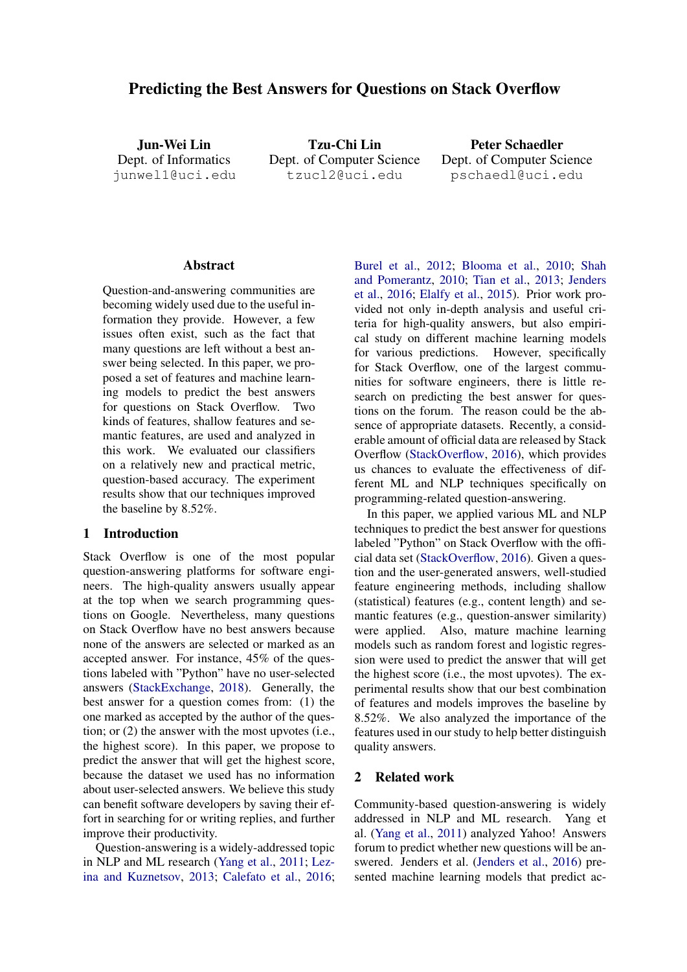# Predicting the Best Answers for Questions on Stack Overflow

Jun-Wei Lin Dept. of Informatics junwel1@uci.edu

Tzu-Chi Lin Dept. of Computer Science tzucl2@uci.edu

Peter Schaedler Dept. of Computer Science pschaedl@uci.edu

#### Abstract

Question-and-answering communities are becoming widely used due to the useful information they provide. However, a few issues often exist, such as the fact that many questions are left without a best answer being selected. In this paper, we proposed a set of features and machine learning models to predict the best answers for questions on Stack Overflow. Two kinds of features, shallow features and semantic features, are used and analyzed in this work. We evaluated our classifiers on a relatively new and practical metric, question-based accuracy. The experiment results show that our techniques improved the baseline by 8.52%.

### 1 Introduction

Stack Overflow is one of the most popular question-answering platforms for software engineers. The high-quality answers usually appear at the top when we search programming questions on Google. Nevertheless, many questions on Stack Overflow have no best answers because none of the answers are selected or marked as an accepted answer. For instance, 45% of the questions labeled with "Python" have no user-selected answers [\(StackExchange,](#page-4-0) [2018\)](#page-4-0). Generally, the best answer for a question comes from: (1) the one marked as accepted by the author of the question; or (2) the answer with the most upvotes (i.e., the highest score). In this paper, we propose to predict the answer that will get the highest score, because the dataset we used has no information about user-selected answers. We believe this study can benefit software developers by saving their effort in searching for or writing replies, and further improve their productivity.

Question-answering is a widely-addressed topic in NLP and ML research [\(Yang et al.,](#page-4-1) [2011;](#page-4-1) [Lez](#page-4-2)[ina and Kuznetsov,](#page-4-2) [2013;](#page-4-2) [Calefato et al.,](#page-4-3) [2016;](#page-4-3)

[Burel et al.,](#page-4-4) [2012;](#page-4-4) [Blooma et al.,](#page-4-5) [2010;](#page-4-5) [Shah](#page-4-6) [and Pomerantz,](#page-4-6) [2010;](#page-4-6) [Tian et al.,](#page-4-7) [2013;](#page-4-7) [Jenders](#page-4-8) [et al.,](#page-4-8) [2016;](#page-4-8) [Elalfy et al.,](#page-4-9) [2015\)](#page-4-9). Prior work provided not only in-depth analysis and useful criteria for high-quality answers, but also empirical study on different machine learning models for various predictions. However, specifically for Stack Overflow, one of the largest communities for software engineers, there is little research on predicting the best answer for questions on the forum. The reason could be the absence of appropriate datasets. Recently, a considerable amount of official data are released by Stack Overflow [\(StackOverflow,](#page-4-10) [2016\)](#page-4-10), which provides us chances to evaluate the effectiveness of different ML and NLP techniques specifically on programming-related question-answering.

In this paper, we applied various ML and NLP techniques to predict the best answer for questions labeled "Python" on Stack Overflow with the official data set [\(StackOverflow,](#page-4-10) [2016\)](#page-4-10). Given a question and the user-generated answers, well-studied feature engineering methods, including shallow (statistical) features (e.g., content length) and semantic features (e.g., question-answer similarity) were applied. Also, mature machine learning models such as random forest and logistic regression were used to predict the answer that will get the highest score (i.e., the most upvotes). The experimental results show that our best combination of features and models improves the baseline by 8.52%. We also analyzed the importance of the features used in our study to help better distinguish quality answers.

# 2 Related work

Community-based question-answering is widely addressed in NLP and ML research. Yang et al. [\(Yang et al.,](#page-4-1) [2011\)](#page-4-1) analyzed Yahoo! Answers forum to predict whether new questions will be answered. Jenders et al. [\(Jenders et al.,](#page-4-8) [2016\)](#page-4-8) presented machine learning models that predict ac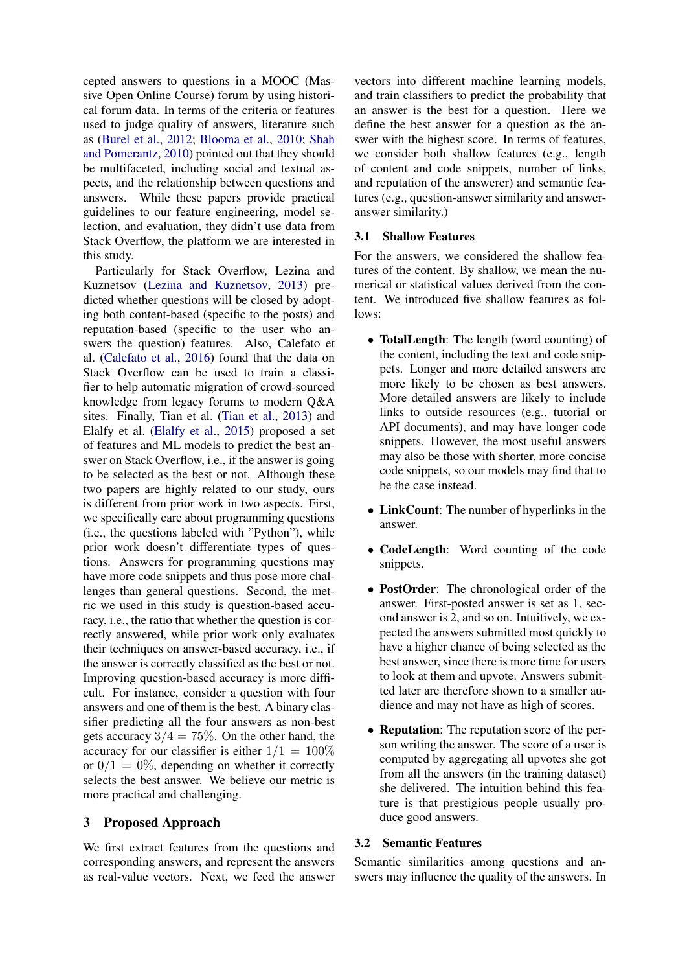cepted answers to questions in a MOOC (Massive Open Online Course) forum by using historical forum data. In terms of the criteria or features used to judge quality of answers, literature such as [\(Burel et al.,](#page-4-4) [2012;](#page-4-4) [Blooma et al.,](#page-4-5) [2010;](#page-4-5) [Shah](#page-4-6) [and Pomerantz,](#page-4-6) [2010\)](#page-4-6) pointed out that they should be multifaceted, including social and textual aspects, and the relationship between questions and answers. While these papers provide practical guidelines to our feature engineering, model selection, and evaluation, they didn't use data from Stack Overflow, the platform we are interested in this study.

Particularly for Stack Overflow, Lezina and Kuznetsov [\(Lezina and Kuznetsov,](#page-4-2) [2013\)](#page-4-2) predicted whether questions will be closed by adopting both content-based (specific to the posts) and reputation-based (specific to the user who answers the question) features. Also, Calefato et al. [\(Calefato et al.,](#page-4-3) [2016\)](#page-4-3) found that the data on Stack Overflow can be used to train a classifier to help automatic migration of crowd-sourced knowledge from legacy forums to modern Q&A sites. Finally, Tian et al. [\(Tian et al.,](#page-4-7) [2013\)](#page-4-7) and Elalfy et al. [\(Elalfy et al.,](#page-4-9) [2015\)](#page-4-9) proposed a set of features and ML models to predict the best answer on Stack Overflow, i.e., if the answer is going to be selected as the best or not. Although these two papers are highly related to our study, ours is different from prior work in two aspects. First, we specifically care about programming questions (i.e., the questions labeled with "Python"), while prior work doesn't differentiate types of questions. Answers for programming questions may have more code snippets and thus pose more challenges than general questions. Second, the metric we used in this study is question-based accuracy, i.e., the ratio that whether the question is correctly answered, while prior work only evaluates their techniques on answer-based accuracy, i.e., if the answer is correctly classified as the best or not. Improving question-based accuracy is more difficult. For instance, consider a question with four answers and one of them is the best. A binary classifier predicting all the four answers as non-best gets accuracy  $3/4 = 75\%$ . On the other hand, the accuracy for our classifier is either  $1/1 = 100\%$ or  $0/1 = 0\%$ , depending on whether it correctly selects the best answer. We believe our metric is more practical and challenging.

# 3 Proposed Approach

We first extract features from the questions and corresponding answers, and represent the answers as real-value vectors. Next, we feed the answer vectors into different machine learning models, and train classifiers to predict the probability that an answer is the best for a question. Here we define the best answer for a question as the answer with the highest score. In terms of features, we consider both shallow features (e.g., length of content and code snippets, number of links, and reputation of the answerer) and semantic features (e.g., question-answer similarity and answeranswer similarity.)

#### 3.1 Shallow Features

For the answers, we considered the shallow features of the content. By shallow, we mean the numerical or statistical values derived from the content. We introduced five shallow features as follows:

- **TotalLength**: The length (word counting) of the content, including the text and code snippets. Longer and more detailed answers are more likely to be chosen as best answers. More detailed answers are likely to include links to outside resources (e.g., tutorial or API documents), and may have longer code snippets. However, the most useful answers may also be those with shorter, more concise code snippets, so our models may find that to be the case instead.
- LinkCount: The number of hyperlinks in the answer.
- CodeLength: Word counting of the code snippets.
- PostOrder: The chronological order of the answer. First-posted answer is set as 1, second answer is 2, and so on. Intuitively, we expected the answers submitted most quickly to have a higher chance of being selected as the best answer, since there is more time for users to look at them and upvote. Answers submitted later are therefore shown to a smaller audience and may not have as high of scores.
- **Reputation**: The reputation score of the person writing the answer. The score of a user is computed by aggregating all upvotes she got from all the answers (in the training dataset) she delivered. The intuition behind this feature is that prestigious people usually produce good answers.

#### 3.2 Semantic Features

Semantic similarities among questions and answers may influence the quality of the answers. In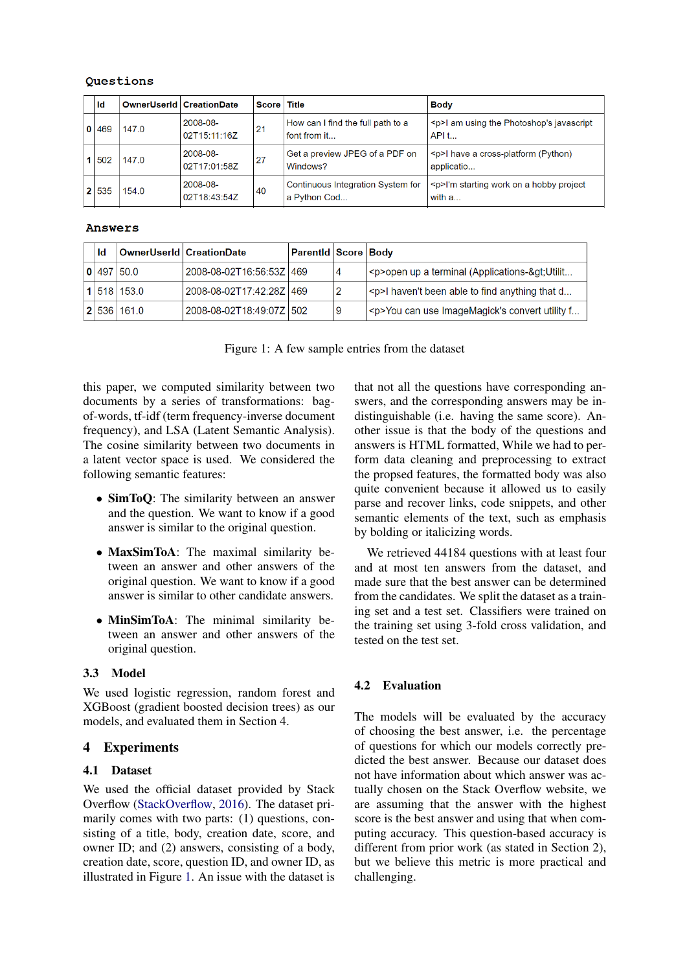#### Questions

| Id    | <b>OwnerUserId CreationDate</b> |                          | Score Title |                                                   | <b>Body</b>                                                         |
|-------|---------------------------------|--------------------------|-------------|---------------------------------------------------|---------------------------------------------------------------------|
| 0 469 | 147.0                           | 2008-08-<br>02T15:11:16Z | 21          | How can I find the full path to a<br>font from it | <p>I am using the Photoshop's javascript<br/><math>API</math> t</p> |
| 502   | 147.0                           | 2008-08-<br>02T17:01:58Z | 27          | Get a preview JPEG of a PDF on<br>Windows?        | <p>I have a cross-platform (Python)<br/>applicatio</p>              |
| 2 535 | 154.0                           | 2008-08-<br>02T18:43:54Z | 40          | Continuous Integration System for<br>a Python Cod | <p>I'm starting work on a hobby project<br/>with <math>a</math></p> |

#### **Answers**

| Id           | OwnerUserId CreationDate |                            | <b>Parentid Score Body</b> |   |                                                    |
|--------------|--------------------------|----------------------------|----------------------------|---|----------------------------------------------------|
| $0$ 497 50.0 |                          | 2008-08-02T16.56:53Z 469   |                            | 4 | sp>open up a terminal (Applications->Utilit        |
|              | $1518$ 153.0             | 2008-08-02T17:42:28Z 469   |                            |   | <p>I haven't been able to find anything that d</p> |
|              | 2 536 161.0              | 2008-08-02T18:49:07Z   502 |                            | 9 | <p>You can use ImageMagick's convert utility f</p> |

<span id="page-2-0"></span>Figure 1: A few sample entries from the dataset

this paper, we computed similarity between two documents by a series of transformations: bagof-words, tf-idf (term frequency-inverse document frequency), and LSA (Latent Semantic Analysis). The cosine similarity between two documents in a latent vector space is used. We considered the following semantic features:

- SimToQ: The similarity between an answer and the question. We want to know if a good answer is similar to the original question.
- MaxSimToA: The maximal similarity between an answer and other answers of the original question. We want to know if a good answer is similar to other candidate answers.
- MinSimToA: The minimal similarity between an answer and other answers of the original question.

#### 3.3 Model

We used logistic regression, random forest and XGBoost (gradient boosted decision trees) as our models, and evaluated them in Section 4.

#### 4 Experiments

#### 4.1 Dataset

We used the official dataset provided by Stack Overflow [\(StackOverflow,](#page-4-10) [2016\)](#page-4-10). The dataset primarily comes with two parts: (1) questions, consisting of a title, body, creation date, score, and owner ID; and (2) answers, consisting of a body, creation date, score, question ID, and owner ID, as illustrated in Figure [1.](#page-2-0) An issue with the dataset is that not all the questions have corresponding answers, and the corresponding answers may be indistinguishable (i.e. having the same score). Another issue is that the body of the questions and answers is HTML formatted, While we had to perform data cleaning and preprocessing to extract the propsed features, the formatted body was also quite convenient because it allowed us to easily parse and recover links, code snippets, and other semantic elements of the text, such as emphasis by bolding or italicizing words.

We retrieved 44184 questions with at least four and at most ten answers from the dataset, and made sure that the best answer can be determined from the candidates. We split the dataset as a training set and a test set. Classifiers were trained on the training set using 3-fold cross validation, and tested on the test set.

# 4.2 Evaluation

The models will be evaluated by the accuracy of choosing the best answer, i.e. the percentage of questions for which our models correctly predicted the best answer. Because our dataset does not have information about which answer was actually chosen on the Stack Overflow website, we are assuming that the answer with the highest score is the best answer and using that when computing accuracy. This question-based accuracy is different from prior work (as stated in Section 2), but we believe this metric is more practical and challenging.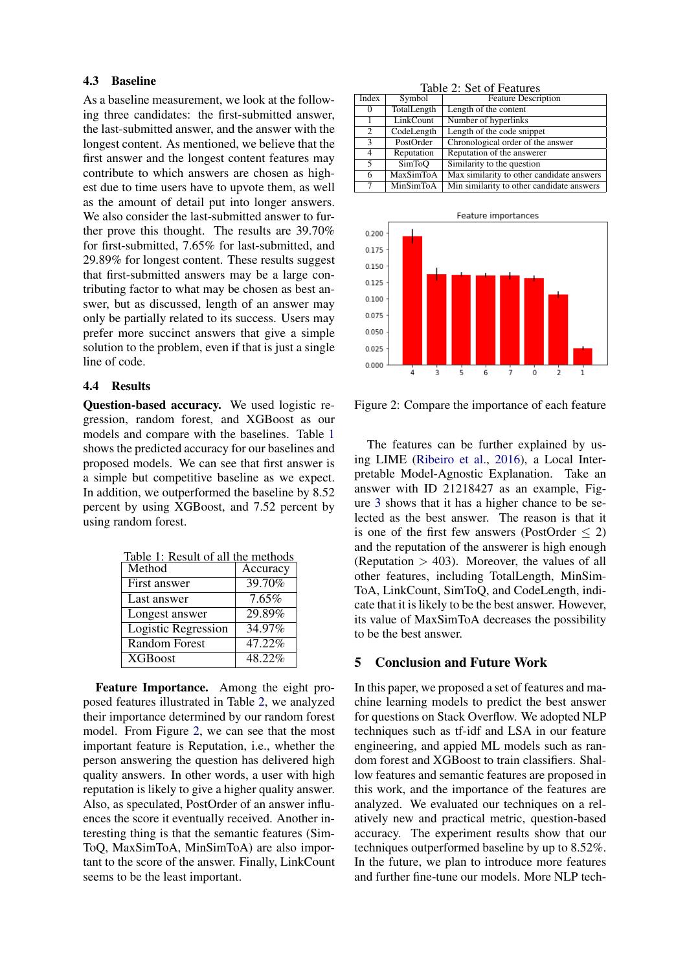#### 4.3 Baseline

As a baseline measurement, we look at the following three candidates: the first-submitted answer, the last-submitted answer, and the answer with the longest content. As mentioned, we believe that the first answer and the longest content features may contribute to which answers are chosen as highest due to time users have to upvote them, as well as the amount of detail put into longer answers. We also consider the last-submitted answer to further prove this thought. The results are 39.70% for first-submitted, 7.65% for last-submitted, and 29.89% for longest content. These results suggest that first-submitted answers may be a large contributing factor to what may be chosen as best answer, but as discussed, length of an answer may only be partially related to its success. Users may prefer more succinct answers that give a simple solution to the problem, even if that is just a single line of code.

#### 4.4 Results

Question-based accuracy. We used logistic regression, random forest, and XGBoost as our models and compare with the baselines. Table [1](#page-3-0) shows the predicted accuracy for our baselines and proposed models. We can see that first answer is a simple but competitive baseline as we expect. In addition, we outperformed the baseline by 8.52 percent by using XGBoost, and 7.52 percent by using random forest.

<span id="page-3-0"></span>

|  | Table 1: Result of all the methods |  |  |  |
|--|------------------------------------|--|--|--|
|  |                                    |  |  |  |

| Method               | Accuracy |
|----------------------|----------|
| First answer         | 39.70%   |
| Last answer          | $7.65\%$ |
| Longest answer       | 29.89%   |
| Logistic Regression  | 34.97%   |
| <b>Random Forest</b> | 47.22%   |
| <b>XGB</b> oost      | 48.22%   |

Feature Importance. Among the eight proposed features illustrated in Table [2,](#page-3-1) we analyzed their importance determined by our random forest model. From Figure [2,](#page-3-2) we can see that the most important feature is Reputation, i.e., whether the person answering the question has delivered high quality answers. In other words, a user with high reputation is likely to give a higher quality answer. Also, as speculated, PostOrder of an answer influences the score it eventually received. Another interesting thing is that the semantic features (Sim-ToQ, MaxSimToA, MinSimToA) are also important to the score of the answer. Finally, LinkCount seems to be the least important.

<span id="page-3-1"></span>

|  |  | Table 2: Set of Features |
|--|--|--------------------------|
|  |  |                          |

| Table 2. Oct of Features |             |                                           |  |  |  |
|--------------------------|-------------|-------------------------------------------|--|--|--|
| Index                    | Symbol      | <b>Feature Description</b>                |  |  |  |
| $\mathbf{0}$             | TotalLength | Length of the content                     |  |  |  |
|                          | LinkCount   | Number of hyperlinks                      |  |  |  |
| 2                        | CodeLength  | Length of the code snippet                |  |  |  |
| 3                        | PostOrder   | Chronological order of the answer         |  |  |  |
| 4                        | Reputation  | Reputation of the answerer                |  |  |  |
| 5.                       | SimToO      | Similarity to the question                |  |  |  |
| 6                        | MaxSimToA   | Max similarity to other candidate answers |  |  |  |
|                          | MinSimToA   | Min similarity to other candidate answers |  |  |  |



<span id="page-3-2"></span>Figure 2: Compare the importance of each feature

The features can be further explained by using LIME [\(Ribeiro et al.,](#page-4-11) [2016\)](#page-4-11), a Local Interpretable Model-Agnostic Explanation. Take an answer with ID 21218427 as an example, Figure [3](#page-4-12) shows that it has a higher chance to be selected as the best answer. The reason is that it is one of the first few answers (PostOrder  $\leq$  2) and the reputation of the answerer is high enough (Reputation  $>$  403). Moreover, the values of all other features, including TotalLength, MinSim-ToA, LinkCount, SimToQ, and CodeLength, indicate that it is likely to be the best answer. However, its value of MaxSimToA decreases the possibility to be the best answer.

### 5 Conclusion and Future Work

In this paper, we proposed a set of features and machine learning models to predict the best answer for questions on Stack Overflow. We adopted NLP techniques such as tf-idf and LSA in our feature engineering, and appied ML models such as random forest and XGBoost to train classifiers. Shallow features and semantic features are proposed in this work, and the importance of the features are analyzed. We evaluated our techniques on a relatively new and practical metric, question-based accuracy. The experiment results show that our techniques outperformed baseline by up to 8.52%. In the future, we plan to introduce more features and further fine-tune our models. More NLP tech-